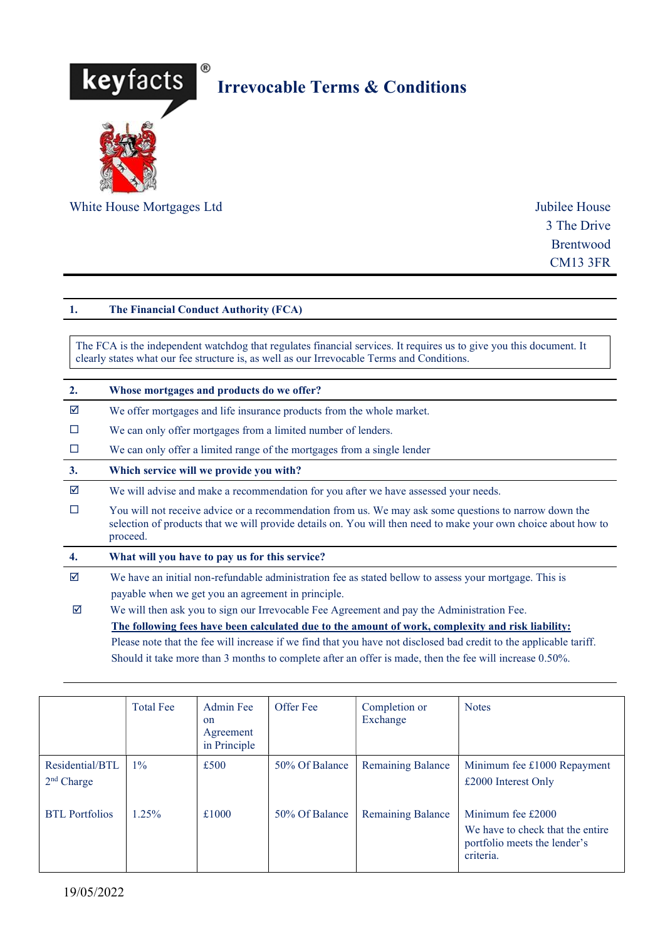

3 The Drive Brentwood CM13 3FR

# 1. The Financial Conduct Authority (FCA)

The FCA is the independent watchdog that regulates financial services. It requires us to give you this document. It clearly states what our fee structure is, as well as our Irrevocable Terms and Conditions.

| 2. | Whose mortgages and products do we offer?                                                                                                                                                                                           |
|----|-------------------------------------------------------------------------------------------------------------------------------------------------------------------------------------------------------------------------------------|
| ☑  | We offer mortgages and life insurance products from the whole market.                                                                                                                                                               |
| □  | We can only offer mortgages from a limited number of lenders.                                                                                                                                                                       |
| □  | We can only offer a limited range of the mortgages from a single lender                                                                                                                                                             |
| 3. | Which service will we provide you with?                                                                                                                                                                                             |
| ☑  | We will advise and make a recommendation for you after we have assessed your needs.                                                                                                                                                 |
| П  | You will not receive advice or a recommendation from us. We may ask some questions to narrow down the<br>selection of products that we will provide details on. You will then need to make your own choice about how to<br>proceed. |
| 4. | What will you have to pay us for this service?                                                                                                                                                                                      |
| ☑  | We have an initial non-refundable administration fee as stated bellow to assess your mortgage. This is                                                                                                                              |
|    | payable when we get you an agreement in principle.                                                                                                                                                                                  |
| ☑  | We will then ask you to sign our Irrevocable Fee Agreement and pay the Administration Fee.                                                                                                                                          |
|    | The following fees have been calculated due to the amount of work, complexity and risk liability:                                                                                                                                   |
|    | Please note that the fee will increase if we find that you have not disclosed bad credit to the applicable tariff.                                                                                                                  |
|    | Should it take more than 3 months to complete after an offer is made, then the fee will increase 0.50%.                                                                                                                             |

|                                 | <b>Total Fee</b> | Admin Fee<br>on<br>Agreement<br>in Principle | Offer Fee      | Completion or<br>Exchange | <b>Notes</b>                                                                                       |
|---------------------------------|------------------|----------------------------------------------|----------------|---------------------------|----------------------------------------------------------------------------------------------------|
| Residential/BTL<br>$2nd$ Charge | $1\%$            | £500                                         | 50% Of Balance | <b>Remaining Balance</b>  | Minimum fee £1000 Repayment<br>£2000 Interest Only                                                 |
| <b>BTL</b> Portfolios           | $.25\%$          | £1000                                        | 50% Of Balance | <b>Remaining Balance</b>  | Minimum fee £2000<br>We have to check that the entire<br>portfolio meets the lender's<br>criteria. |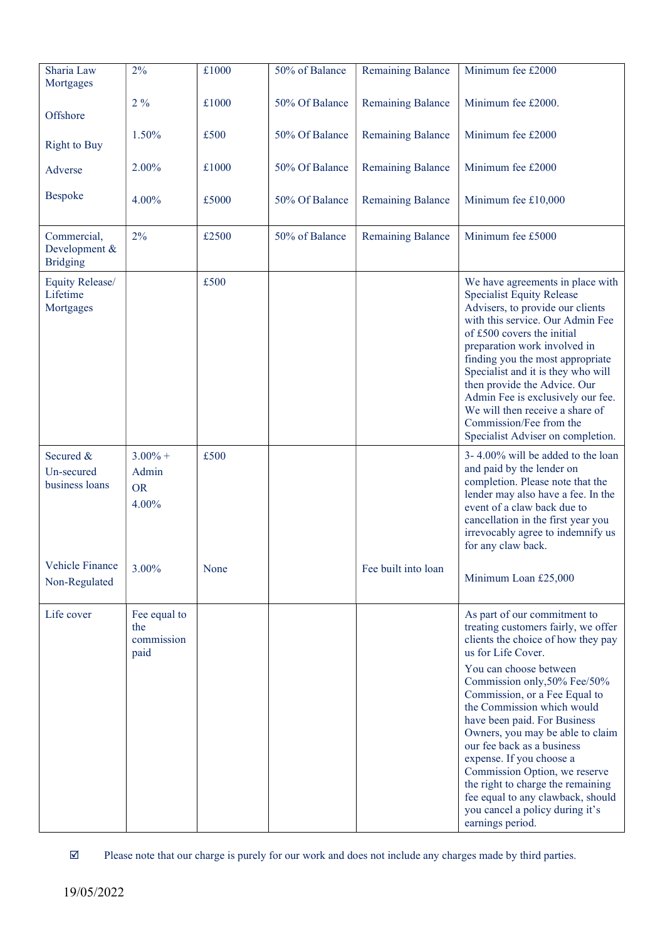| Sharia Law                                      | 2%                                        | £1000 | 50% of Balance | <b>Remaining Balance</b> | Minimum fee £2000                                                                                                                                                                                                                                                                                                                                                                                                                                                                                                                                        |
|-------------------------------------------------|-------------------------------------------|-------|----------------|--------------------------|----------------------------------------------------------------------------------------------------------------------------------------------------------------------------------------------------------------------------------------------------------------------------------------------------------------------------------------------------------------------------------------------------------------------------------------------------------------------------------------------------------------------------------------------------------|
| Mortgages                                       |                                           |       |                |                          |                                                                                                                                                                                                                                                                                                                                                                                                                                                                                                                                                          |
| Offshore                                        | $2\%$                                     | £1000 | 50% Of Balance | <b>Remaining Balance</b> | Minimum fee £2000.                                                                                                                                                                                                                                                                                                                                                                                                                                                                                                                                       |
| <b>Right to Buy</b>                             | 1.50%                                     | £500  | 50% Of Balance | <b>Remaining Balance</b> | Minimum fee £2000                                                                                                                                                                                                                                                                                                                                                                                                                                                                                                                                        |
| Adverse                                         | 2.00%                                     | £1000 | 50% Of Balance | <b>Remaining Balance</b> | Minimum fee £2000                                                                                                                                                                                                                                                                                                                                                                                                                                                                                                                                        |
| Bespoke                                         | 4.00%                                     | £5000 | 50% Of Balance | <b>Remaining Balance</b> | Minimum fee £10,000                                                                                                                                                                                                                                                                                                                                                                                                                                                                                                                                      |
| Commercial,<br>Development &<br><b>Bridging</b> | 2%                                        | £2500 | 50% of Balance | <b>Remaining Balance</b> | Minimum fee £5000                                                                                                                                                                                                                                                                                                                                                                                                                                                                                                                                        |
| Equity Release/<br>Lifetime<br>Mortgages        |                                           | £500  |                |                          | We have agreements in place with<br><b>Specialist Equity Release</b><br>Advisers, to provide our clients<br>with this service. Our Admin Fee<br>of £500 covers the initial<br>preparation work involved in<br>finding you the most appropriate<br>Specialist and it is they who will<br>then provide the Advice. Our<br>Admin Fee is exclusively our fee.<br>We will then receive a share of<br>Commission/Fee from the<br>Specialist Adviser on completion.                                                                                             |
| Secured &<br>Un-secured<br>business loans       | $3.00\% +$<br>Admin<br><b>OR</b><br>4.00% | £500  |                |                          | 3-4.00% will be added to the loan<br>and paid by the lender on<br>completion. Please note that the<br>lender may also have a fee. In the<br>event of a claw back due to<br>cancellation in the first year you<br>irrevocably agree to indemnify us<br>for any claw back.                                                                                                                                                                                                                                                                                 |
| Vehicle Finance<br>Non-Regulated                | 3.00%                                     | None  |                | Fee built into loan      | Minimum Loan £25,000                                                                                                                                                                                                                                                                                                                                                                                                                                                                                                                                     |
| Life cover                                      | Fee equal to<br>the<br>commission<br>paid |       |                |                          | As part of our commitment to<br>treating customers fairly, we offer<br>clients the choice of how they pay<br>us for Life Cover.<br>You can choose between<br>Commission only, 50% Fee/50%<br>Commission, or a Fee Equal to<br>the Commission which would<br>have been paid. For Business<br>Owners, you may be able to claim<br>our fee back as a business<br>expense. If you choose a<br>Commission Option, we reserve<br>the right to charge the remaining<br>fee equal to any clawback, should<br>you cancel a policy during it's<br>earnings period. |